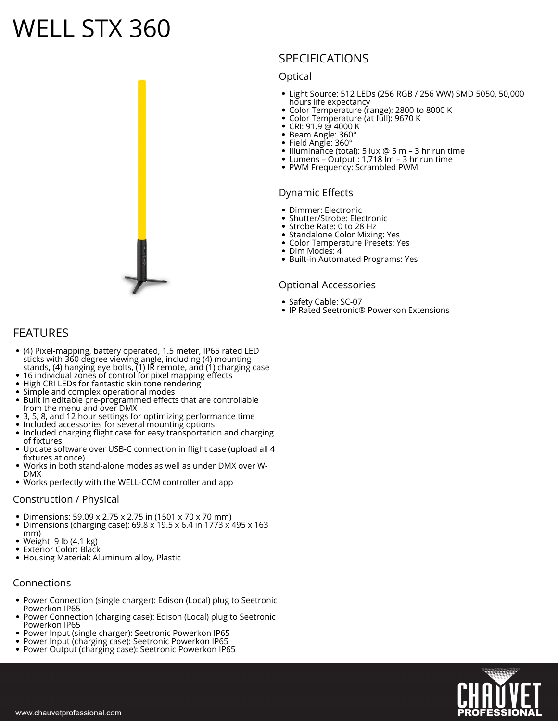# **WELL STX 360**



## **SPECIFICATIONS**

#### **Optical**

- Light Source: 512 LEDs (256 RGB / 256 WW) SMD 5050, 50,000 hours life expectancy
- Color Temperature (range): 2800 to 8000 K
- Color Temperature (at full): 9670 K
- CRI: 91.9 @ 4000 K
- Beam Angle: 360°
- Field Angle: 360°
- Illuminance (total): 5 lux @ 5 m 3 hr run time Lumens – Output : 1,718 lm – 3 hr run time
- PWM Frequency: Scrambled PWM

#### **Dynamic Effects**

- Dimmer: Electronic
- Shutter/Strobe: Electronic
- Strobe Rate: 0 to 28 Hz
- Standalone Color Mixing: Yes
- Color Temperature Presets: Yes
- Dim Modes: 4
- Built-in Automated Programs: Yes

#### **Optional Accessories**

- Safety Cable: SC-07
- IP Rated Seetronic® Powerkon Extensions

## **FEATURES**

- (4) Pixel-mapping, battery operated, 1.5 meter, IP65 rated LED sticks with 360 degree viewing angle, including (4) mounting stands, (4) hanging eye bolts, (1) IR remote, and (1) charging case
- 16 individual zones of control for pixel mapping effects
- High CRI LEDs for fantastic skin tone rendering
- Simple and complex operational modes
- Built in editable pre-programmed effects that are controllable from the menu and over DMX
- 3, 5, 8, and 12 hour settings for optimizing performance time
- Included accessories for several mounting options
- Included charging flight case for easy transportation and charging of fixtures
- Update software over USB-C connection in flight case (upload all 4 fixtures at once)
- Works in both stand-alone modes as well as under DMX over W-DMX
- Works perfectly with the WELL-COM controller and app

#### **Construction / Physical**

- Dimensions: 59.09 x 2.75 x 2.75 in (1501 x 70 x 70 mm)
- Dimensions (charging case):  $69.8 \times 19.5 \times 6.4$  in 1773  $\times 495 \times 163$ mm)
- Weight: 9 lb (4.1 kg)
- Exterior Color: Black
- Housing Material: Aluminum alloy, Plastic

#### **Connections**

- Power Connection (single charger): Edison (Local) plug to Seetronic Powerkon IP65
- Power Connection (charging case): Edison (Local) plug to Seetronic Powerkon IP65
- Power Input (single charger): Seetronic Powerkon IP65
- Power Input (charging case): Seetronic Powerkon IP65 Power Output (charging case): Seetronic Powerkon IP65